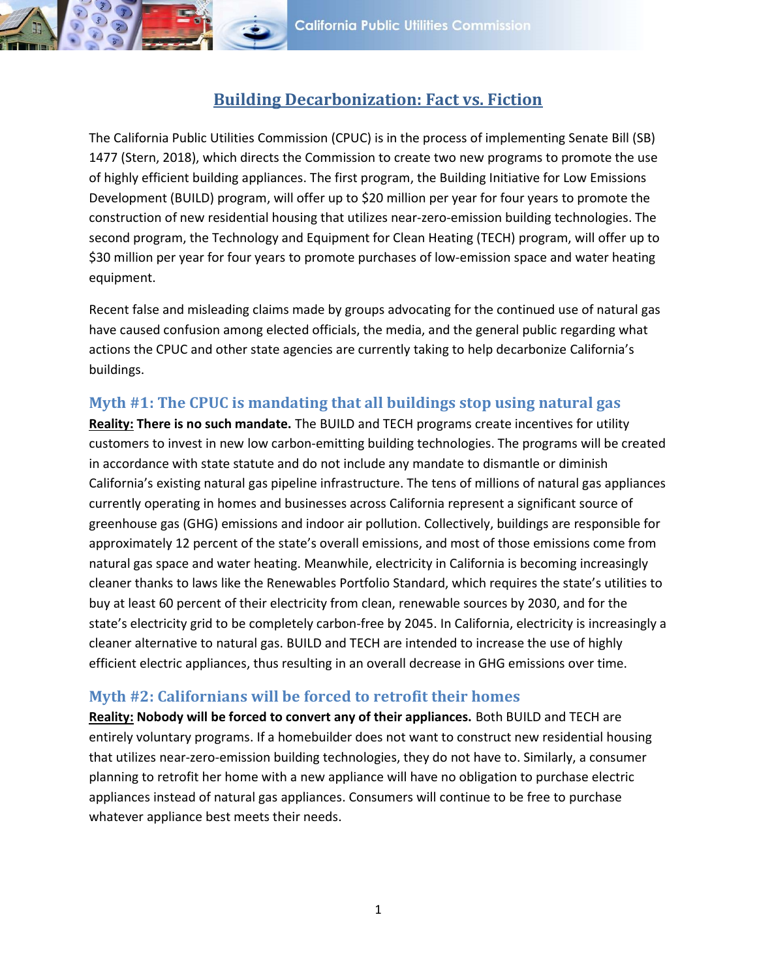

# Building Decarbonization: Fact vs. Fiction

The California Public Utilities Commission (CPUC) is in the process of implementing Senate Bill (SB) 1477 (Stern, 2018), which directs the Commission to create two new programs to promote the use of highly efficient building appliances. The first program, the Building Initiative for Low Emissions Development (BUILD) program, will offer up to \$20 million per year for four years to promote the construction of new residential housing that utilizes near-zero-emission building technologies. The second program, the Technology and Equipment for Clean Heating (TECH) program, will offer up to \$30 million per year for four years to promote purchases of low-emission space and water heating equipment.

Recent false and misleading claims made by groups advocating for the continued use of natural gas have caused confusion among elected officials, the media, and the general public regarding what actions the CPUC and other state agencies are currently taking to help decarbonize California's buildings.

## Myth #1: The CPUC is mandating that all buildings stop using natural gas

Reality: There is no such mandate. The BUILD and TECH programs create incentives for utility customers to invest in new low carbon-emitting building technologies. The programs will be created in accordance with state statute and do not include any mandate to dismantle or diminish California's existing natural gas pipeline infrastructure. The tens of millions of natural gas appliances currently operating in homes and businesses across California represent a significant source of greenhouse gas (GHG) emissions and indoor air pollution. Collectively, buildings are responsible for approximately 12 percent of the state's overall emissions, and most of those emissions come from natural gas space and water heating. Meanwhile, electricity in California is becoming increasingly cleaner thanks to laws like the Renewables Portfolio Standard, which requires the state's utilities to buy at least 60 percent of their electricity from clean, renewable sources by 2030, and for the state's electricity grid to be completely carbon-free by 2045. In California, electricity is increasingly a cleaner alternative to natural gas. BUILD and TECH are intended to increase the use of highly efficient electric appliances, thus resulting in an overall decrease in GHG emissions over time.

#### Myth #2: Californians will be forced to retrofit their homes

Reality: Nobody will be forced to convert any of their appliances. Both BUILD and TECH are entirely voluntary programs. If a homebuilder does not want to construct new residential housing that utilizes near-zero-emission building technologies, they do not have to. Similarly, a consumer planning to retrofit her home with a new appliance will have no obligation to purchase electric appliances instead of natural gas appliances. Consumers will continue to be free to purchase whatever appliance best meets their needs.